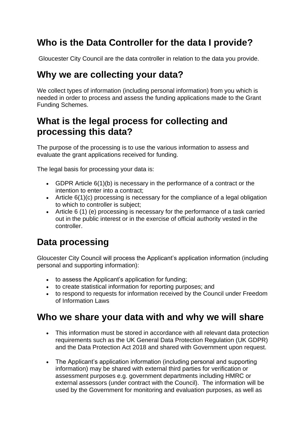# **Who is the Data Controller for the data I provide?**

Gloucester City Council are the data controller in relation to the data you provide.

#### **Why we are collecting your data?**

We collect types of information (including personal information) from you which is needed in order to process and assess the funding applications made to the Grant Funding Schemes.

# **What is the legal process for collecting and processing this data?**

The purpose of the processing is to use the various information to assess and evaluate the grant applications received for funding.

The legal basis for processing your data is:

- GDPR Article 6(1)(b) is necessary in the performance of a contract or the intention to enter into a contract;
- Article 6(1)(c) processing is necessary for the compliance of a legal obligation to which to controller is subject;
- Article 6 (1) (e) processing is necessary for the performance of a task carried out in the public interest or in the exercise of official authority vested in the controller.

# **Data processing**

Gloucester City Council will process the Applicant's application information (including personal and supporting information):

- to assess the Applicant's application for funding;
- to create statistical information for reporting purposes; and
- to respond to requests for information received by the Council under Freedom of Information Laws

#### **Who we share your data with and why we will share**

- This information must be stored in accordance with all relevant data protection requirements such as the UK General Data Protection Regulation (UK GDPR) and the Data Protection Act 2018 and shared with Government upon request.
- The Applicant's application information (including personal and supporting information) may be shared with external third parties for verification or assessment purposes e.g. government departments including HMRC or external assessors (under contract with the Council). The information will be used by the Government for monitoring and evaluation purposes, as well as